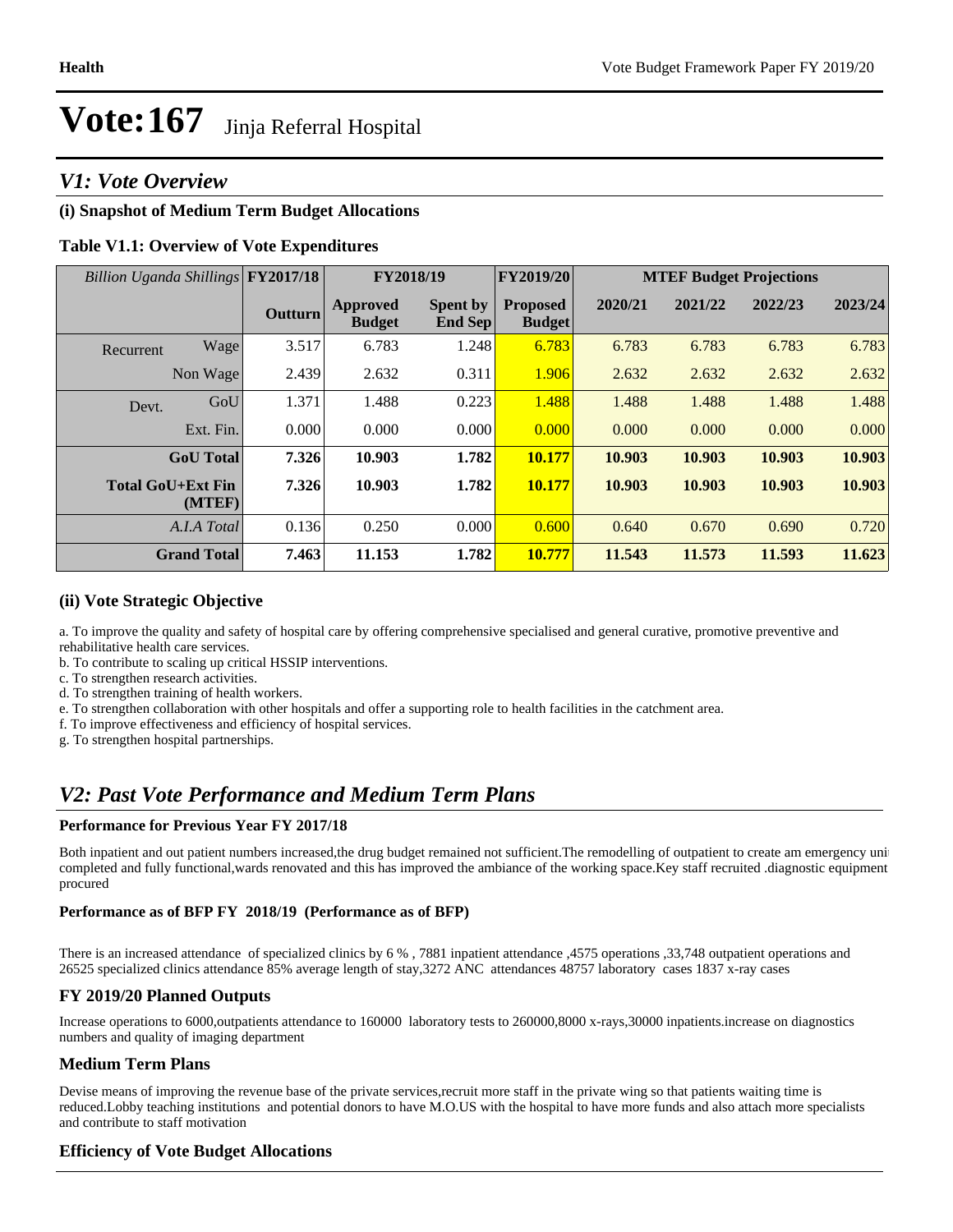## *V1: Vote Overview*

## **(i) Snapshot of Medium Term Budget Allocations**

## **Table V1.1: Overview of Vote Expenditures**

| Billion Uganda Shillings FY2017/18 |                    |                |                                  | <b>FY2019/20</b><br>FY2018/19 |                                  | <b>MTEF Budget Projections</b> |         |         |         |
|------------------------------------|--------------------|----------------|----------------------------------|-------------------------------|----------------------------------|--------------------------------|---------|---------|---------|
|                                    |                    | <b>Outturn</b> | <b>Approved</b><br><b>Budget</b> | <b>Spent by</b><br>End Sep    | <b>Proposed</b><br><b>Budget</b> | 2020/21                        | 2021/22 | 2022/23 | 2023/24 |
| Recurrent                          | Wage               | 3.517          | 6.783                            | 1.248                         | 6.783                            | 6.783                          | 6.783   | 6.783   | 6.783   |
|                                    | Non Wage           | 2.439          | 2.632                            | 0.311                         | 1.906                            | 2.632                          | 2.632   | 2.632   | 2.632   |
| Devt.                              | GoU                | 1.371          | 1.488                            | 0.223                         | 1.488                            | 1.488                          | 1.488   | 1.488   | 1.488   |
|                                    | Ext. Fin.          | 0.000          | 0.000                            | 0.000                         | 0.000                            | 0.000                          | 0.000   | 0.000   | 0.000   |
|                                    | <b>GoU</b> Total   | 7.326          | 10.903                           | 1.782                         | 10.177                           | 10.903                         | 10.903  | 10.903  | 10.903  |
| <b>Total GoU+Ext Fin</b>           | (MTEF)             | 7.326          | 10.903                           | 1.782                         | 10.177                           | 10.903                         | 10.903  | 10.903  | 10.903  |
|                                    | A.I.A Total        | 0.136          | 0.250                            | 0.000                         | 0.600                            | 0.640                          | 0.670   | 0.690   | 0.720   |
|                                    | <b>Grand Total</b> | 7.463          | 11.153                           | 1.782                         | 10.777                           | 11.543                         | 11.573  | 11.593  | 11.623  |

#### **(ii) Vote Strategic Objective**

a. To improve the quality and safety of hospital care by offering comprehensive specialised and general curative, promotive preventive and rehabilitative health care services.

b. To contribute to scaling up critical HSSIP interventions.

c. To strengthen research activities.

d. To strengthen training of health workers.

e. To strengthen collaboration with other hospitals and offer a supporting role to health facilities in the catchment area.

f. To improve effectiveness and efficiency of hospital services.

g. To strengthen hospital partnerships.

## *V2: Past Vote Performance and Medium Term Plans*

#### **Performance for Previous Year FY 2017/18**

Both inpatient and out patient numbers increased,the drug budget remained not sufficient.The remodelling of outpatient to create am emergency unit completed and fully functional,wards renovated and this has improved the ambiance of the working space.Key staff recruited .diagnostic equipment procured

#### **Performance as of BFP FY 2018/19 (Performance as of BFP)**

There is an increased attendance of specialized clinics by 6 % , 7881 inpatient attendance ,4575 operations ,33,748 outpatient operations and 26525 specialized clinics attendance 85% average length of stay,3272 ANC attendances 48757 laboratory cases 1837 x-ray cases

### **FY 2019/20 Planned Outputs**

Increase operations to 6000,outpatients attendance to 160000 laboratory tests to 260000,8000 x-rays,30000 inpatients.increase on diagnostics numbers and quality of imaging department

### **Medium Term Plans**

Devise means of improving the revenue base of the private services,recruit more staff in the private wing so that patients waiting time is reduced.Lobby teaching institutions and potential donors to have M.O.US with the hospital to have more funds and also attach more specialists and contribute to staff motivation

### **Efficiency of Vote Budget Allocations**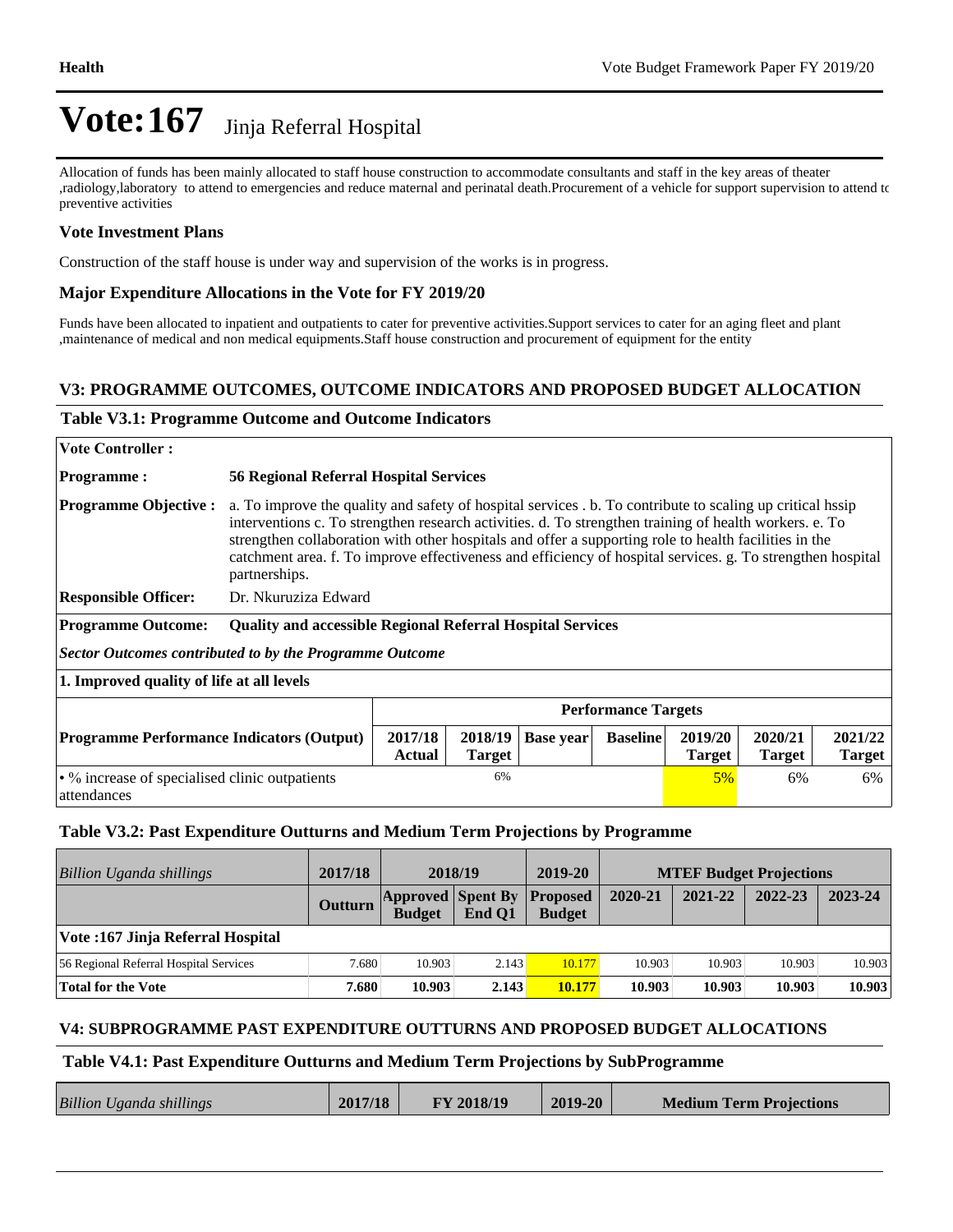Allocation of funds has been mainly allocated to staff house construction to accommodate consultants and staff in the key areas of theater ,radiology,laboratory to attend to emergencies and reduce maternal and perinatal death.Procurement of a vehicle for support supervision to attend to preventive activities

## **Vote Investment Plans**

Construction of the staff house is under way and supervision of the works is in progress.

### **Major Expenditure Allocations in the Vote for FY 2019/20**

Funds have been allocated to inpatient and outpatients to cater for preventive activities.Support services to cater for an aging fleet and plant ,maintenance of medical and non medical equipments.Staff house construction and procurement of equipment for the entity

## **V3: PROGRAMME OUTCOMES, OUTCOME INDICATORS AND PROPOSED BUDGET ALLOCATION**

### **Table V3.1: Programme Outcome and Outcome Indicators**

| <b>Vote Controller :</b>                                       |                                                                                                                                                                                                                                                                                                                                                                                                                                                           |                          |                  |                 |                          |                          |                          |  |
|----------------------------------------------------------------|-----------------------------------------------------------------------------------------------------------------------------------------------------------------------------------------------------------------------------------------------------------------------------------------------------------------------------------------------------------------------------------------------------------------------------------------------------------|--------------------------|------------------|-----------------|--------------------------|--------------------------|--------------------------|--|
| <b>Programme:</b>                                              | <b>56 Regional Referral Hospital Services</b>                                                                                                                                                                                                                                                                                                                                                                                                             |                          |                  |                 |                          |                          |                          |  |
| <b>Programme Objective:</b>                                    | a. To improve the quality and safety of hospital services b. To contribute to scaling up critical hists<br>interventions c. To strengthen research activities. d. To strengthen training of health workers. e. To<br>strengthen collaboration with other hospitals and offer a supporting role to health facilities in the<br>catchment area. f. To improve effectiveness and efficiency of hospital services. g. To strengthen hospital<br>partnerships. |                          |                  |                 |                          |                          |                          |  |
| <b>Responsible Officer:</b>                                    | Dr. Nkuruziza Edward                                                                                                                                                                                                                                                                                                                                                                                                                                      |                          |                  |                 |                          |                          |                          |  |
| <b>Programme Outcome:</b>                                      | <b>Quality and accessible Regional Referral Hospital Services</b>                                                                                                                                                                                                                                                                                                                                                                                         |                          |                  |                 |                          |                          |                          |  |
| <b>Sector Outcomes contributed to by the Programme Outcome</b> |                                                                                                                                                                                                                                                                                                                                                                                                                                                           |                          |                  |                 |                          |                          |                          |  |
| 1. Improved quality of life at all levels                      |                                                                                                                                                                                                                                                                                                                                                                                                                                                           |                          |                  |                 |                          |                          |                          |  |
|                                                                | <b>Performance Targets</b>                                                                                                                                                                                                                                                                                                                                                                                                                                |                          |                  |                 |                          |                          |                          |  |
| <b>Programme Performance Indicators (Output)</b>               | 2017/18<br><b>Actual</b>                                                                                                                                                                                                                                                                                                                                                                                                                                  | 2018/19<br><b>Target</b> | <b>Base year</b> | <b>Baseline</b> | 2019/20<br><b>Target</b> | 2020/21<br><b>Target</b> | 2021/22<br><b>Target</b> |  |
| • % increase of specialised clinic outpatients<br>attendances  |                                                                                                                                                                                                                                                                                                                                                                                                                                                           | 6%                       |                  |                 | $5\%$                    | 6%                       | 6%                       |  |

#### **Table V3.2: Past Expenditure Outturns and Medium Term Projections by Programme**

| Billion Uganda shillings               | 2017/18 | 2018/19                                   |        | 2019-20                          |         | <b>MTEF Budget Projections</b> |         |         |
|----------------------------------------|---------|-------------------------------------------|--------|----------------------------------|---------|--------------------------------|---------|---------|
|                                        | Outturn | <b>Approved Spent By</b><br><b>Budget</b> | End O1 | <b>Proposed</b><br><b>Budget</b> | 2020-21 | 2021-22                        | 2022-23 | 2023-24 |
| Vote: 167 Jinja Referral Hospital      |         |                                           |        |                                  |         |                                |         |         |
| 56 Regional Referral Hospital Services | 7.680   | 10.903                                    | 2.143  | 10.177                           | 10.903  | 10.903                         | 10.903  | 10.903  |
| <b>Total for the Vote</b>              | 7.680   | 10.903                                    | 2.143  | 10.177                           | 10.903  | 10.903                         | 10.903  | 10.903  |

### **V4: SUBPROGRAMME PAST EXPENDITURE OUTTURNS AND PROPOSED BUDGET ALLOCATIONS**

#### **Table V4.1: Past Expenditure Outturns and Medium Term Projections by SubProgramme**

|  | <b>Billion Uganda shillings</b> | 2017/18 | FY 2018/19 | 2019-20 | <b>Medium Term Projections</b> |
|--|---------------------------------|---------|------------|---------|--------------------------------|
|--|---------------------------------|---------|------------|---------|--------------------------------|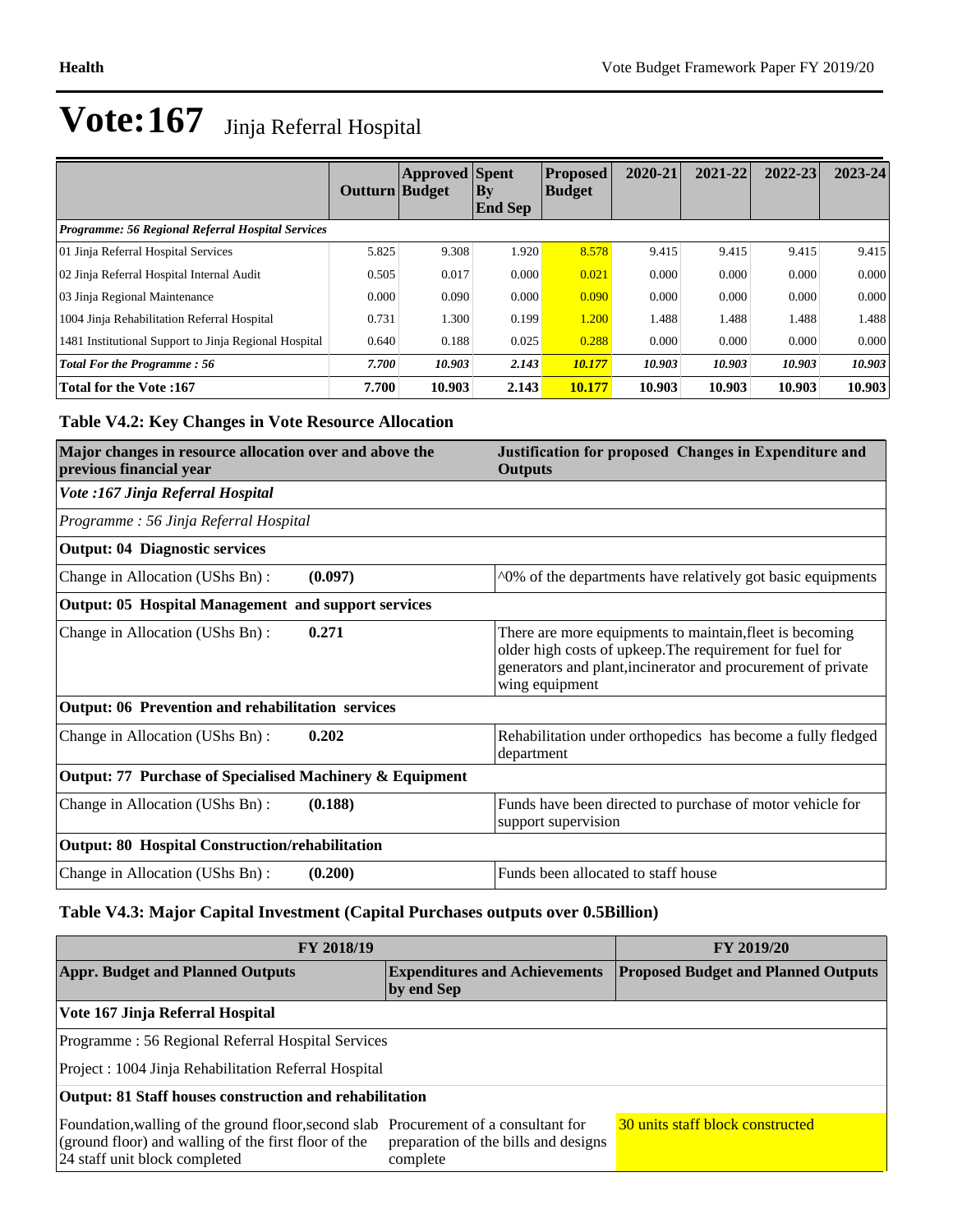|                                                          | Outturn Budget | <b>Approved</b> Spent | $\mathbf{B}\mathbf{y}$<br><b>End Sep</b> | <b>Proposed</b><br><b>Budget</b> | 2020-21 | 2021-22 | 2022-23 | $2023 - 24$ |
|----------------------------------------------------------|----------------|-----------------------|------------------------------------------|----------------------------------|---------|---------|---------|-------------|
| <b>Programme: 56 Regional Referral Hospital Services</b> |                |                       |                                          |                                  |         |         |         |             |
| 01 Jinja Referral Hospital Services                      | 5.825          | 9.308                 | 1.920                                    | 8.578                            | 9.415   | 9.415   | 9.415   | 9.415       |
| 02 Jinja Referral Hospital Internal Audit                | 0.505          | 0.017                 | 0.000                                    | 0.021                            | 0.000   | 0.000   | 0.000   | 0.000       |
| 03 Jinja Regional Maintenance                            | 0.000          | 0.090                 | 0.000                                    | 0.090                            | 0.000   | 0.000   | 0.000   | 0.000       |
| 1004 Jinja Rehabilitation Referral Hospital              | 0.731          | 1.300                 | 0.199                                    | 1.200                            | 1.488   | 1.488   | 1.488   | 1.488       |
| 1481 Institutional Support to Jinja Regional Hospital    | 0.640          | 0.188                 | 0.025                                    | 0.288                            | 0.000   | 0.000   | 0.000   | 0.000       |
| <b>Total For the Programme: 56</b>                       | 7.700          | 10.903                | 2.143                                    | 10.177                           | 10.903  | 10.903  | 10.903  | 10.903      |
| Total for the Vote: 167                                  | 7.700          | 10.903                | 2.143                                    | 10.177                           | 10.903  | 10.903  | 10.903  | 10.903      |

## **Table V4.2: Key Changes in Vote Resource Allocation**

| Major changes in resource allocation over and above the<br>previous financial year |         | Justification for proposed Changes in Expenditure and<br><b>Outputs</b>                                                                                                                                |  |  |
|------------------------------------------------------------------------------------|---------|--------------------------------------------------------------------------------------------------------------------------------------------------------------------------------------------------------|--|--|
| Vote :167 Jinja Referral Hospital                                                  |         |                                                                                                                                                                                                        |  |  |
| Programme: 56 Jinja Referral Hospital                                              |         |                                                                                                                                                                                                        |  |  |
| <b>Output: 04 Diagnostic services</b>                                              |         |                                                                                                                                                                                                        |  |  |
| Change in Allocation (UShs Bn):                                                    | (0.097) | ^0% of the departments have relatively got basic equipments                                                                                                                                            |  |  |
| Output: 05 Hospital Management and support services                                |         |                                                                                                                                                                                                        |  |  |
| Change in Allocation (UShs Bn):                                                    | 0.271   | There are more equipments to maintain, fleet is becoming<br>older high costs of upkeep. The requirement for fuel for<br>generators and plant, incinerator and procurement of private<br>wing equipment |  |  |
| Output: 06 Prevention and rehabilitation services                                  |         |                                                                                                                                                                                                        |  |  |
| Change in Allocation (UShs Bn):                                                    | 0.202   | Rehabilitation under orthopedics has become a fully fledged<br>department                                                                                                                              |  |  |
| Output: 77 Purchase of Specialised Machinery & Equipment                           |         |                                                                                                                                                                                                        |  |  |
| Change in Allocation (UShs Bn):                                                    | (0.188) | Funds have been directed to purchase of motor vehicle for<br>support supervision                                                                                                                       |  |  |
| <b>Output: 80 Hospital Construction/rehabilitation</b>                             |         |                                                                                                                                                                                                        |  |  |
| Change in Allocation (UShs Bn):                                                    | (0.200) | Funds been allocated to staff house                                                                                                                                                                    |  |  |

## **Table V4.3: Major Capital Investment (Capital Purchases outputs over 0.5Billion)**

| <b>FY 2018/19</b>                                                                                                                                                             | <b>FY 2019/20</b>                                |                                  |  |  |  |  |
|-------------------------------------------------------------------------------------------------------------------------------------------------------------------------------|--------------------------------------------------|----------------------------------|--|--|--|--|
| <b>Appr. Budget and Planned Outputs</b><br>by end Sep                                                                                                                         | <b>Proposed Budget and Planned Outputs</b>       |                                  |  |  |  |  |
| Vote 167 Jinja Referral Hospital                                                                                                                                              |                                                  |                                  |  |  |  |  |
| Programme: 56 Regional Referral Hospital Services                                                                                                                             |                                                  |                                  |  |  |  |  |
| Project : 1004 Jinja Rehabilitation Referral Hospital                                                                                                                         |                                                  |                                  |  |  |  |  |
| Output: 81 Staff houses construction and rehabilitation                                                                                                                       |                                                  |                                  |  |  |  |  |
| Foundation, walling of the ground floor, second slab Procurement of a consultant for<br>(ground floor) and walling of the first floor of the<br>24 staff unit block completed | preparation of the bills and designs<br>complete | 30 units staff block constructed |  |  |  |  |